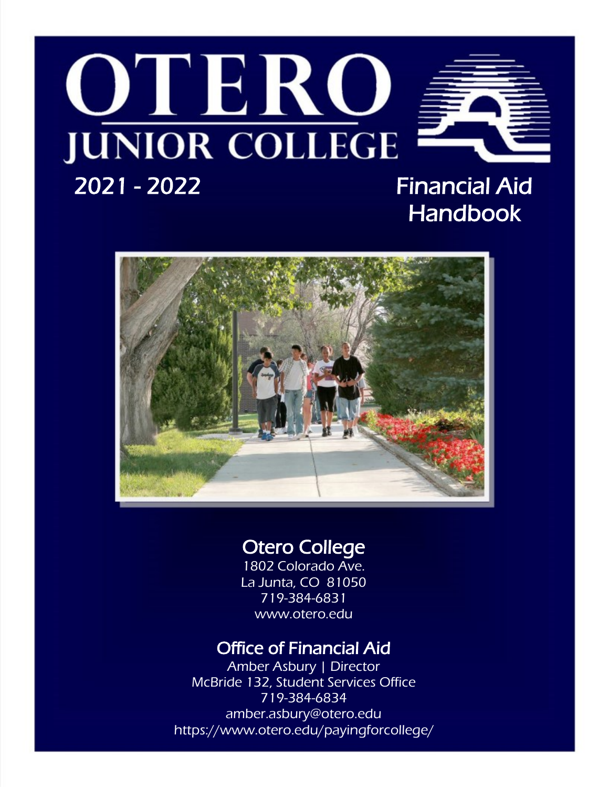# OTERC **JUNIOR COLLEGE**



# 2021 - 2022 Financial Aid Handbook



# Otero College

1802 Colorado Ave. La Junta, CO 81050 719-384-6831 www.otero.edu

# Office of Financial Aid

Amber Asbury | Director McBride 132, Student Services Office 719-384-6834 amber.asbury@otero.edu https://www.otero.edu/payingforcollege/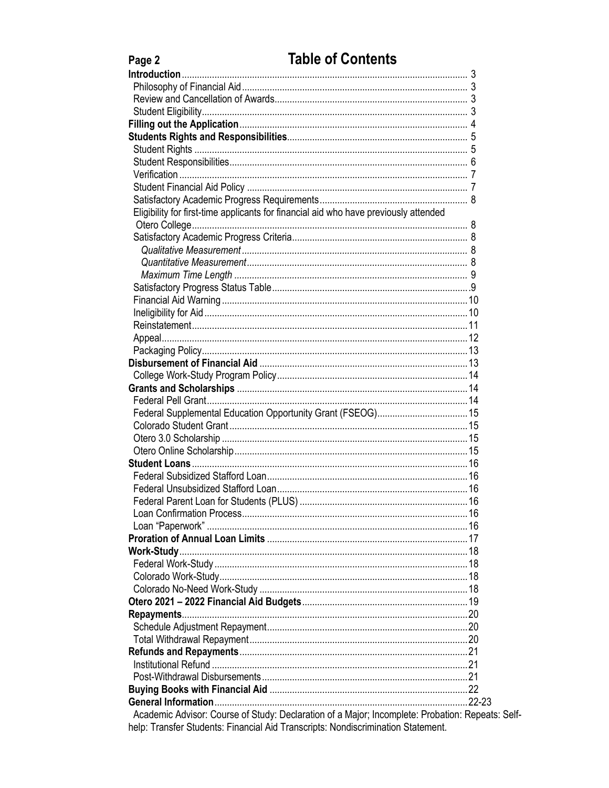| Page 2                                                                               | <b>Table of Contents</b>                                                                         |
|--------------------------------------------------------------------------------------|--------------------------------------------------------------------------------------------------|
|                                                                                      |                                                                                                  |
|                                                                                      |                                                                                                  |
|                                                                                      |                                                                                                  |
|                                                                                      |                                                                                                  |
|                                                                                      |                                                                                                  |
|                                                                                      |                                                                                                  |
|                                                                                      |                                                                                                  |
|                                                                                      |                                                                                                  |
|                                                                                      |                                                                                                  |
|                                                                                      |                                                                                                  |
|                                                                                      |                                                                                                  |
| Eligibility for first-time applicants for financial aid who have previously attended |                                                                                                  |
|                                                                                      |                                                                                                  |
|                                                                                      |                                                                                                  |
|                                                                                      |                                                                                                  |
|                                                                                      |                                                                                                  |
|                                                                                      |                                                                                                  |
|                                                                                      |                                                                                                  |
|                                                                                      |                                                                                                  |
|                                                                                      |                                                                                                  |
|                                                                                      |                                                                                                  |
|                                                                                      |                                                                                                  |
|                                                                                      |                                                                                                  |
|                                                                                      |                                                                                                  |
|                                                                                      |                                                                                                  |
|                                                                                      |                                                                                                  |
|                                                                                      |                                                                                                  |
|                                                                                      | Federal Supplemental Education Opportunity Grant (FSEOG) 15                                      |
|                                                                                      |                                                                                                  |
|                                                                                      |                                                                                                  |
|                                                                                      |                                                                                                  |
|                                                                                      |                                                                                                  |
|                                                                                      |                                                                                                  |
|                                                                                      |                                                                                                  |
|                                                                                      |                                                                                                  |
|                                                                                      |                                                                                                  |
|                                                                                      |                                                                                                  |
|                                                                                      |                                                                                                  |
|                                                                                      |                                                                                                  |
|                                                                                      |                                                                                                  |
|                                                                                      |                                                                                                  |
|                                                                                      |                                                                                                  |
|                                                                                      |                                                                                                  |
|                                                                                      |                                                                                                  |
|                                                                                      |                                                                                                  |
|                                                                                      |                                                                                                  |
|                                                                                      |                                                                                                  |
|                                                                                      |                                                                                                  |
|                                                                                      |                                                                                                  |
|                                                                                      |                                                                                                  |
|                                                                                      |                                                                                                  |
|                                                                                      | Academic Advisor: Course of Study: Declaration of a Major; Incomplete: Probation: Repeats: Self- |
| help: Transfer Students: Financial Aid Transcripts: Nondiscrimination Statement.     |                                                                                                  |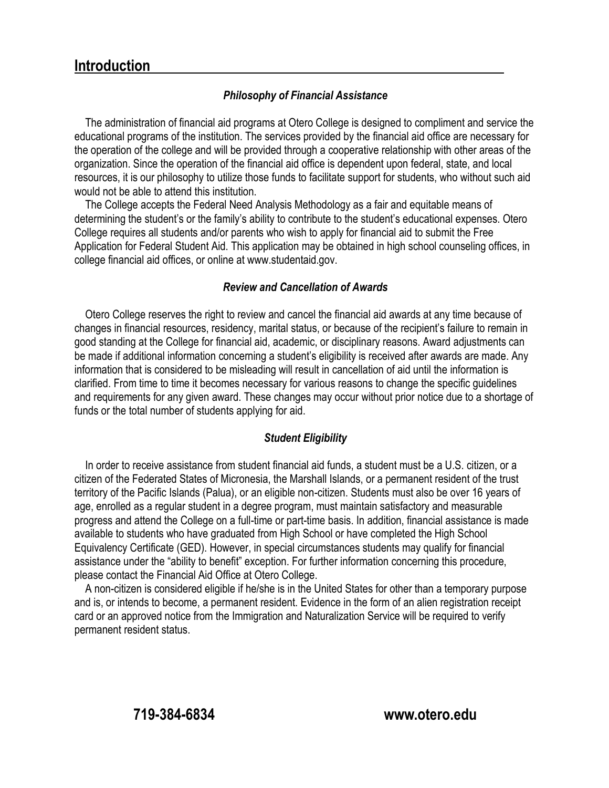#### **Introduction**

#### *Philosophy of Financial Assistance*

The administration of financial aid programs at Otero College is designed to compliment and service the educational programs of the institution. The services provided by the financial aid office are necessary for the operation of the college and will be provided through a cooperative relationship with other areas of the organization. Since the operation of the financial aid office is dependent upon federal, state, and local resources, it is our philosophy to utilize those funds to facilitate support for students, who without such aid would not be able to attend this institution.

The College accepts the Federal Need Analysis Methodology as a fair and equitable means of determining the student's or the family's ability to contribute to the student's educational expenses. Otero College requires all students and/or parents who wish to apply for financial aid to submit the Free Application for Federal Student Aid. This application may be obtained in high school counseling offices, in college financial aid offices, or online at www.studentaid.gov.

#### *Review and Cancellation of Awards*

Otero College reserves the right to review and cancel the financial aid awards at any time because of changes in financial resources, residency, marital status, or because of the recipient's failure to remain in good standing at the College for financial aid, academic, or disciplinary reasons. Award adjustments can be made if additional information concerning a student's eligibility is received after awards are made. Any information that is considered to be misleading will result in cancellation of aid until the information is clarified. From time to time it becomes necessary for various reasons to change the specific guidelines and requirements for any given award. These changes may occur without prior notice due to a shortage of funds or the total number of students applying for aid.

#### *Student Eligibility*

In order to receive assistance from student financial aid funds, a student must be a U.S. citizen, or a citizen of the Federated States of Micronesia, the Marshall Islands, or a permanent resident of the trust territory of the Pacific Islands (Palua), or an eligible non-citizen. Students must also be over 16 years of age, enrolled as a regular student in a degree program, must maintain satisfactory and measurable progress and attend the College on a full-time or part-time basis. In addition, financial assistance is made available to students who have graduated from High School or have completed the High School Equivalency Certificate (GED). However, in special circumstances students may qualify for financial assistance under the "ability to benefit" exception. For further information concerning this procedure, please contact the Financial Aid Office at Otero College.

A non-citizen is considered eligible if he/she is in the United States for other than a temporary purpose and is, or intends to become, a permanent resident. Evidence in the form of an alien registration receipt card or an approved notice from the Immigration and Naturalization Service will be required to verify permanent resident status.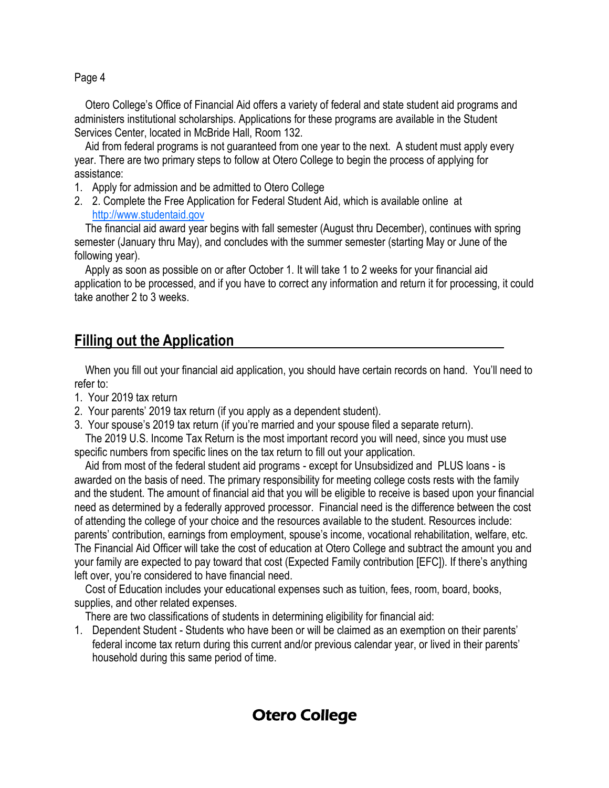Otero College's Office of Financial Aid offers a variety of federal and state student aid programs and administers institutional scholarships. Applications for these programs are available in the Student Services Center, located in McBride Hall, Room 132.

Aid from federal programs is not guaranteed from one year to the next. A student must apply every year. There are two primary steps to follow at Otero College to begin the process of applying for assistance:

- 1. Apply for admission and be admitted to Otero College
- 2. 2. Complete the Free Application for Federal Student Aid, which is available online at [http://www.studentaid.gov](http://www.fafsa.ed.gov/)

The financial aid award year begins with fall semester (August thru December), continues with spring semester (January thru May), and concludes with the summer semester (starting May or June of the following year).

Apply as soon as possible on or after October 1. It will take 1 to 2 weeks for your financial aid application to be processed, and if you have to correct any information and return it for processing, it could take another 2 to 3 weeks.

# **Filling out the Application**

When you fill out your financial aid application, you should have certain records on hand. You'll need to refer to:

- 1. Your 2019 tax return
- 2. Your parents' 2019 tax return (if you apply as a dependent student).
- 3. Your spouse's 2019 tax return (if you're married and your spouse filed a separate return).

The 2019 U.S. Income Tax Return is the most important record you will need, since you must use specific numbers from specific lines on the tax return to fill out your application.

Aid from most of the federal student aid programs - except for Unsubsidized and PLUS loans - is awarded on the basis of need. The primary responsibility for meeting college costs rests with the family and the student. The amount of financial aid that you will be eligible to receive is based upon your financial need as determined by a federally approved processor. Financial need is the difference between the cost of attending the college of your choice and the resources available to the student. Resources include: parents' contribution, earnings from employment, spouse's income, vocational rehabilitation, welfare, etc. The Financial Aid Officer will take the cost of education at Otero College and subtract the amount you and your family are expected to pay toward that cost (Expected Family contribution [EFC]). If there's anything left over, you're considered to have financial need.

Cost of Education includes your educational expenses such as tuition, fees, room, board, books, supplies, and other related expenses.

There are two classifications of students in determining eligibility for financial aid:

1. Dependent Student - Students who have been or will be claimed as an exemption on their parents' federal income tax return during this current and/or previous calendar year, or lived in their parents' household during this same period of time.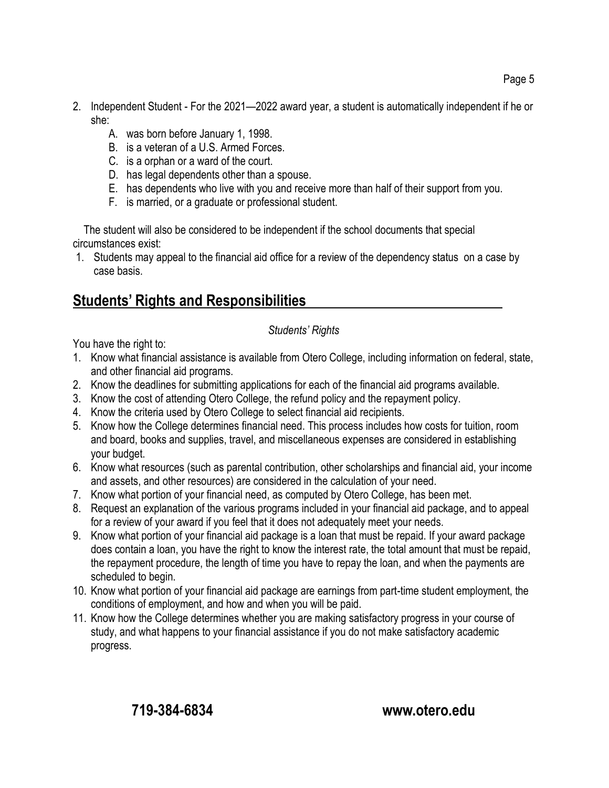- 2. Independent Student For the 2021—2022 award year, a student is automatically independent if he or she:
	- A. was born before January 1, 1998.
	- B. is a veteran of a U.S. Armed Forces.
	- C. is a orphan or a ward of the court.
	- D. has legal dependents other than a spouse.
	- E. has dependents who live with you and receive more than half of their support from you.
	- F. is married, or a graduate or professional student.

The student will also be considered to be independent if the school documents that special circumstances exist:

1. Students may appeal to the financial aid office for a review of the dependency status on a case by case basis.

# **Students' Rights and Responsibilities**

*Students' Rights*

You have the right to:

- 1. Know what financial assistance is available from Otero College, including information on federal, state, and other financial aid programs.
- 2. Know the deadlines for submitting applications for each of the financial aid programs available.
- 3. Know the cost of attending Otero College, the refund policy and the repayment policy.
- 4. Know the criteria used by Otero College to select financial aid recipients.
- 5. Know how the College determines financial need. This process includes how costs for tuition, room and board, books and supplies, travel, and miscellaneous expenses are considered in establishing your budget.
- 6. Know what resources (such as parental contribution, other scholarships and financial aid, your income and assets, and other resources) are considered in the calculation of your need.
- 7. Know what portion of your financial need, as computed by Otero College, has been met.
- 8. Request an explanation of the various programs included in your financial aid package, and to appeal for a review of your award if you feel that it does not adequately meet your needs.
- 9. Know what portion of your financial aid package is a loan that must be repaid. If your award package does contain a loan, you have the right to know the interest rate, the total amount that must be repaid, the repayment procedure, the length of time you have to repay the loan, and when the payments are scheduled to begin.
- 10. Know what portion of your financial aid package are earnings from part-time student employment, the conditions of employment, and how and when you will be paid.
- 11. Know how the College determines whether you are making satisfactory progress in your course of study, and what happens to your financial assistance if you do not make satisfactory academic progress.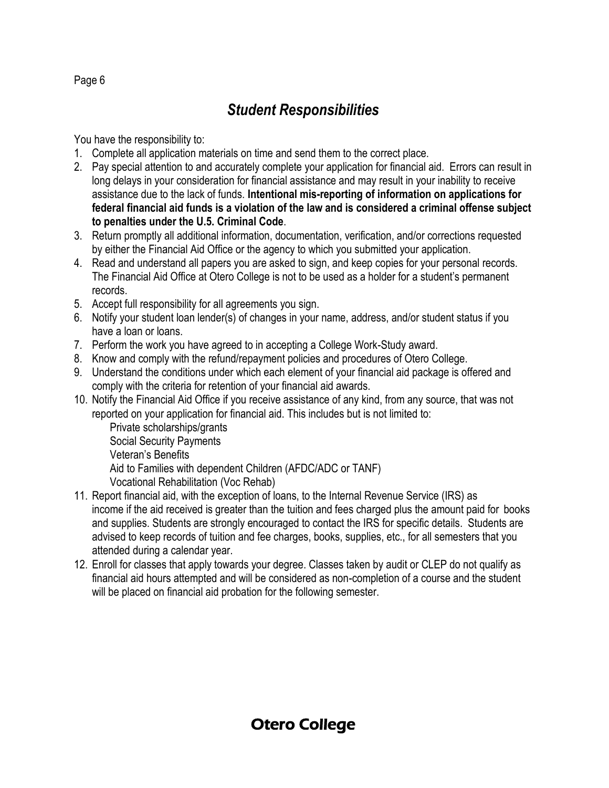# *Student Responsibilities*

You have the responsibility to:

- 1. Complete all application materials on time and send them to the correct place.
- 2. Pay special attention to and accurately complete your application for financial aid. Errors can result in long delays in your consideration for financial assistance and may result in your inability to receive assistance due to the lack of funds. **Intentional mis-reporting of information on applications for federal financial aid funds is a violation of the law and is considered a criminal offense subject to penalties under the U.5. Criminal Code**.
- 3. Return promptly all additional information, documentation, verification, and/or corrections requested by either the Financial Aid Office or the agency to which you submitted your application.
- 4. Read and understand all papers you are asked to sign, and keep copies for your personal records. The Financial Aid Office at Otero College is not to be used as a holder for a student's permanent records.
- 5. Accept full responsibility for all agreements you sign.
- 6. Notify your student loan lender(s) of changes in your name, address, and/or student status if you have a loan or loans.
- 7. Perform the work you have agreed to in accepting a College Work-Study award.
- 8. Know and comply with the refund/repayment policies and procedures of Otero College.
- 9. Understand the conditions under which each element of your financial aid package is offered and comply with the criteria for retention of your financial aid awards.
- 10. Notify the Financial Aid Office if you receive assistance of any kind, from any source, that was not reported on your application for financial aid. This includes but is not limited to:
	- Private scholarships/grants Social Security Payments Veteran's Benefits Aid to Families with dependent Children (AFDC/ADC or TANF) Vocational Rehabilitation (Voc Rehab)
- 11. Report financial aid, with the exception of loans, to the Internal Revenue Service (IRS) as income if the aid received is greater than the tuition and fees charged plus the amount paid for books and supplies. Students are strongly encouraged to contact the IRS for specific details. Students are advised to keep records of tuition and fee charges, books, supplies, etc., for all semesters that you attended during a calendar year.
- 12. Enroll for classes that apply towards your degree. Classes taken by audit or CLEP do not qualify as financial aid hours attempted and will be considered as non-completion of a course and the student will be placed on financial aid probation for the following semester.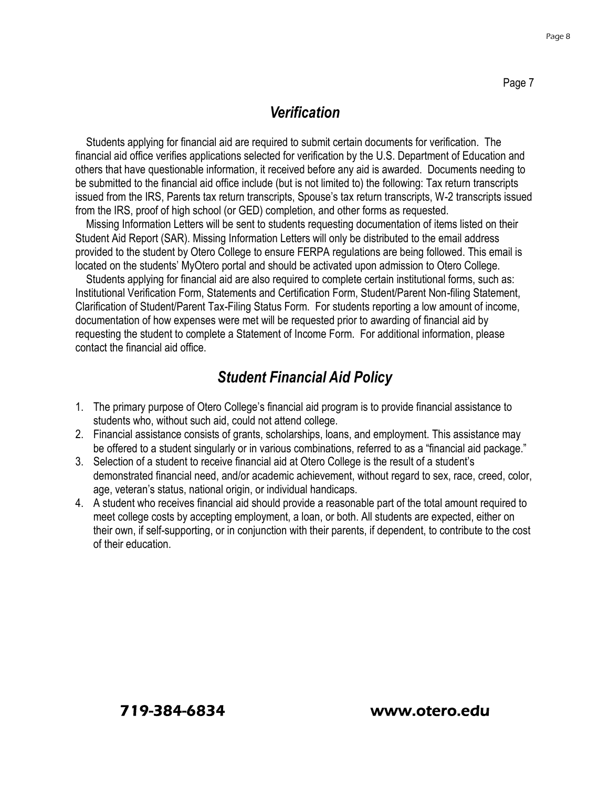#### *Verification*

Students applying for financial aid are required to submit certain documents for verification. The financial aid office verifies applications selected for verification by the U.S. Department of Education and others that have questionable information, it received before any aid is awarded. Documents needing to be submitted to the financial aid office include (but is not limited to) the following: Tax return transcripts issued from the IRS, Parents tax return transcripts, Spouse's tax return transcripts, W-2 transcripts issued from the IRS, proof of high school (or GED) completion, and other forms as requested.

Missing Information Letters will be sent to students requesting documentation of items listed on their Student Aid Report (SAR). Missing Information Letters will only be distributed to the email address provided to the student by Otero College to ensure FERPA regulations are being followed. This email is located on the students' MyOtero portal and should be activated upon admission to Otero College.

Students applying for financial aid are also required to complete certain institutional forms, such as: Institutional Verification Form, Statements and Certification Form, Student/Parent Non-filing Statement, Clarification of Student/Parent Tax-Filing Status Form. For students reporting a low amount of income, documentation of how expenses were met will be requested prior to awarding of financial aid by requesting the student to complete a Statement of Income Form. For additional information, please contact the financial aid office.

#### *Student Financial Aid Policy*

- 1. The primary purpose of Otero College's financial aid program is to provide financial assistance to students who, without such aid, could not attend college.
- 2. Financial assistance consists of grants, scholarships, loans, and employment. This assistance may be offered to a student singularly or in various combinations, referred to as a "financial aid package."
- 3. Selection of a student to receive financial aid at Otero College is the result of a student's demonstrated financial need, and/or academic achievement, without regard to sex, race, creed, color, age, veteran's status, national origin, or individual handicaps.
- 4. A student who receives financial aid should provide a reasonable part of the total amount required to meet college costs by accepting employment, a loan, or both. All students are expected, either on their own, if self-supporting, or in conjunction with their parents, if dependent, to contribute to the cost of their education.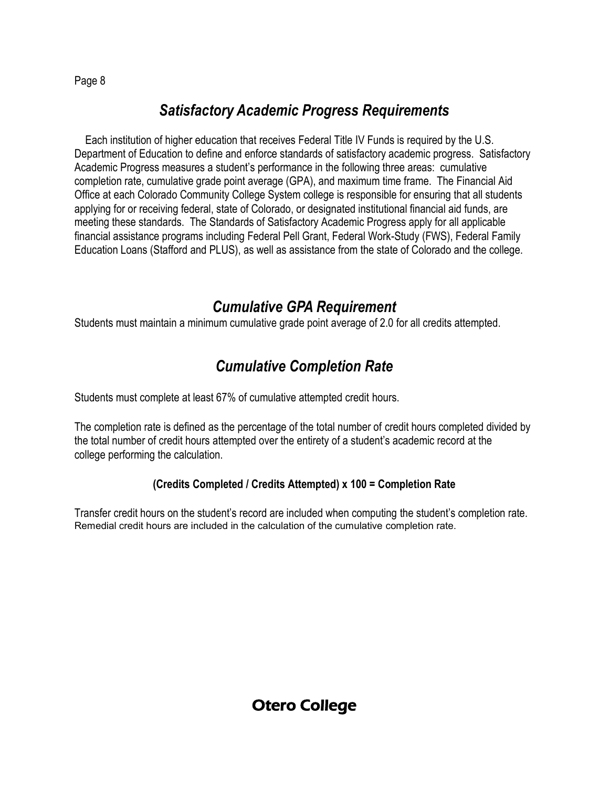#### *Satisfactory Academic Progress Requirements*

Each institution of higher education that receives Federal Title IV Funds is required by the U.S. Department of Education to define and enforce standards of satisfactory academic progress. Satisfactory Academic Progress measures a student's performance in the following three areas: cumulative completion rate, cumulative grade point average (GPA), and maximum time frame. The Financial Aid Office at each Colorado Community College System college is responsible for ensuring that all students applying for or receiving federal, state of Colorado, or designated institutional financial aid funds, are meeting these standards. The Standards of Satisfactory Academic Progress apply for all applicable financial assistance programs including Federal Pell Grant, Federal Work-Study (FWS), Federal Family Education Loans (Stafford and PLUS), as well as assistance from the state of Colorado and the college.

#### *Cumulative GPA Requirement*

Students must maintain a minimum cumulative grade point average of 2.0 for all credits attempted.

# *Cumulative Completion Rate*

Students must complete at least 67% of cumulative attempted credit hours.

The completion rate is defined as the percentage of the total number of credit hours completed divided by the total number of credit hours attempted over the entirety of a student's academic record at the college performing the calculation.

#### **(Credits Completed / Credits Attempted) x 100 = Completion Rate**

Transfer credit hours on the student's record are included when computing the student's completion rate. Remedial credit hours are included in the calculation of the cumulative completion rate.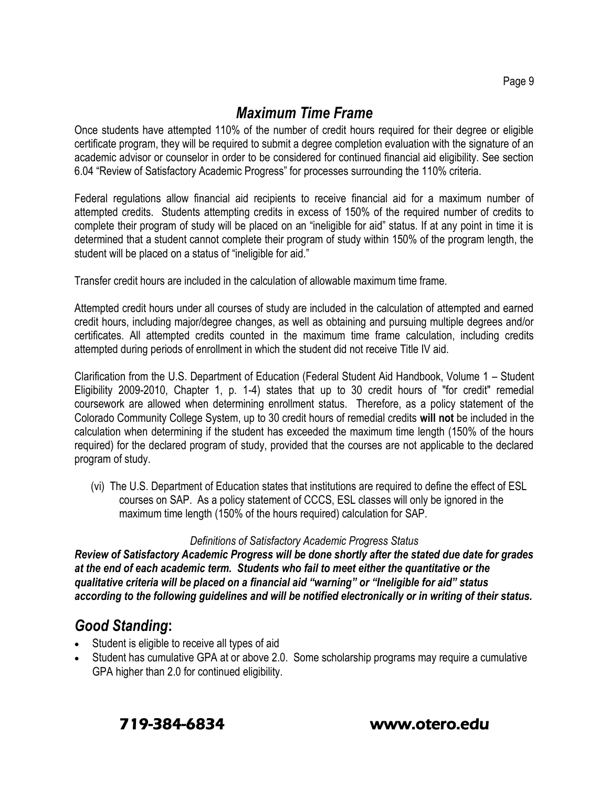#### *Maximum Time Frame*

Once students have attempted 110% of the number of credit hours required for their degree or eligible certificate program, they will be required to submit a degree completion evaluation with the signature of an academic advisor or counselor in order to be considered for continued financial aid eligibility. See section 6.04 "Review of Satisfactory Academic Progress" for processes surrounding the 110% criteria.

Federal regulations allow financial aid recipients to receive financial aid for a maximum number of attempted credits. Students attempting credits in excess of 150% of the required number of credits to complete their program of study will be placed on an "ineligible for aid" status. If at any point in time it is determined that a student cannot complete their program of study within 150% of the program length, the student will be placed on a status of "ineligible for aid."

Transfer credit hours are included in the calculation of allowable maximum time frame.

Attempted credit hours under all courses of study are included in the calculation of attempted and earned credit hours, including major/degree changes, as well as obtaining and pursuing multiple degrees and/or certificates. All attempted credits counted in the maximum time frame calculation, including credits attempted during periods of enrollment in which the student did not receive Title IV aid.

Clarification from the U.S. Department of Education (Federal Student Aid Handbook, Volume 1 – Student Eligibility 2009-2010, Chapter 1, p. 1-4) states that up to 30 credit hours of "for credit" remedial coursework are allowed when determining enrollment status. Therefore, as a policy statement of the Colorado Community College System, up to 30 credit hours of remedial credits **will not** be included in the calculation when determining if the student has exceeded the maximum time length (150% of the hours required) for the declared program of study, provided that the courses are not applicable to the declared program of study.

 (vi) The U.S. Department of Education states that institutions are required to define the effect of ESL courses on SAP. As a policy statement of CCCS, ESL classes will only be ignored in the maximum time length (150% of the hours required) calculation for SAP.

#### *Definitions of Satisfactory Academic Progress Status*

*Review of Satisfactory Academic Progress will be done shortly after the stated due date for grades at the end of each academic term. Students who fail to meet either the quantitative or the qualitative criteria will be placed on a financial aid "warning" or "Ineligible for aid" status according to the following guidelines and will be notified electronically or in writing of their status.*

#### *Good Standing***:**

- Student is eligible to receive all types of aid
- Student has cumulative GPA at or above 2.0. Some scholarship programs may require a cumulative GPA higher than 2.0 for continued eligibility.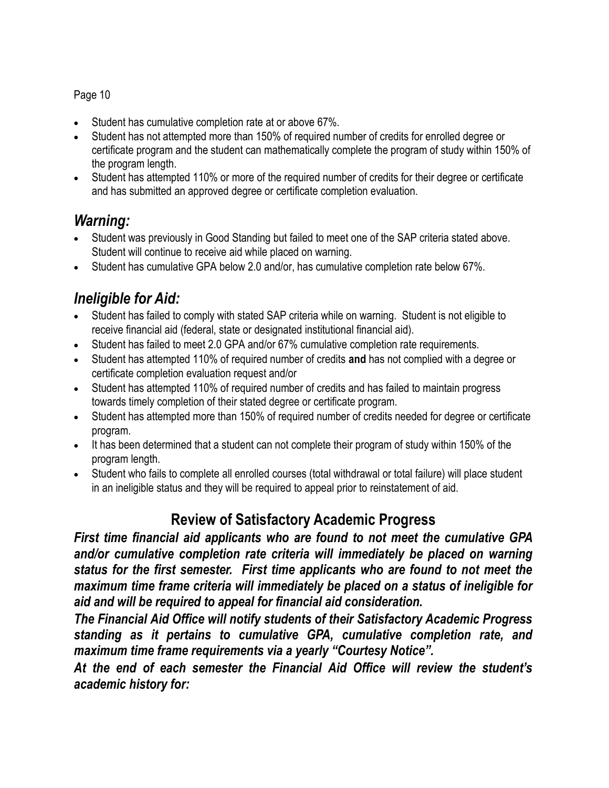- Student has cumulative completion rate at or above 67%.
- Student has not attempted more than 150% of required number of credits for enrolled degree or certificate program and the student can mathematically complete the program of study within 150% of the program length.
- Student has attempted 110% or more of the required number of credits for their degree or certificate and has submitted an approved degree or certificate completion evaluation.

#### *Warning:*

- Student was previously in Good Standing but failed to meet one of the SAP criteria stated above. Student will continue to receive aid while placed on warning.
- Student has cumulative GPA below 2.0 and/or, has cumulative completion rate below 67%.

# *Ineligible for Aid:*

- Student has failed to comply with stated SAP criteria while on warning. Student is not eligible to receive financial aid (federal, state or designated institutional financial aid).
- Student has failed to meet 2.0 GPA and/or 67% cumulative completion rate requirements.
- Student has attempted 110% of required number of credits **and** has not complied with a degree or certificate completion evaluation request and/or
- Student has attempted 110% of required number of credits and has failed to maintain progress towards timely completion of their stated degree or certificate program.
- Student has attempted more than 150% of required number of credits needed for degree or certificate program.
- It has been determined that a student can not complete their program of study within 150% of the program length.
- Student who fails to complete all enrolled courses (total withdrawal or total failure) will place student in an ineligible status and they will be required to appeal prior to reinstatement of aid.

# **Review of Satisfactory Academic Progress**

*First time financial aid applicants who are found to not meet the cumulative GPA*  and/or cumulative completion rate criteria will immediately be placed on warning *status for the first semester. First time applicants who are found to not meet the maximum time frame criteria will immediately be placed on a status of ineligible for aid and will be required to appeal for financial aid consideration.* 

*The Financial Aid Office will notify students of their Satisfactory Academic Progress standing as it pertains to cumulative GPA, cumulative completion rate, and maximum time frame requirements via a yearly "Courtesy Notice".* 

*At the end of each semester the Financial Aid Office will review the student's academic history for:*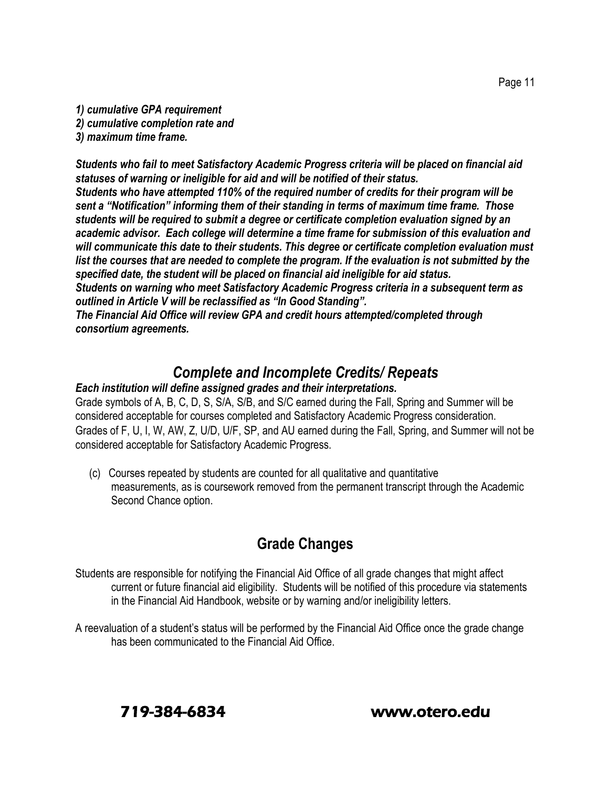*1) cumulative GPA requirement 2) cumulative completion rate and 3) maximum time frame.*

*Students who fail to meet Satisfactory Academic Progress criteria will be placed on financial aid statuses of warning or ineligible for aid and will be notified of their status. Students who have attempted 110% of the required number of credits for their program will be sent a "Notification" informing them of their standing in terms of maximum time frame. Those students will be required to submit a degree or certificate completion evaluation signed by an academic advisor. Each college will determine a time frame for submission of this evaluation and will communicate this date to their students. This degree or certificate completion evaluation must list the courses that are needed to complete the program. If the evaluation is not submitted by the specified date, the student will be placed on financial aid ineligible for aid status.*

*Students on warning who meet Satisfactory Academic Progress criteria in a subsequent term as outlined in Article V will be reclassified as "In Good Standing".*

*The Financial Aid Office will review GPA and credit hours attempted/completed through consortium agreements.* 

#### *Complete and Incomplete Credits/ Repeats*

#### *Each institution will define assigned grades and their interpretations.*

Grade symbols of A, B, C, D, S, S/A, S/B, and S/C earned during the Fall, Spring and Summer will be considered acceptable for courses completed and Satisfactory Academic Progress consideration. Grades of F, U, I, W, AW, Z, U/D, U/F, SP, and AU earned during the Fall, Spring, and Summer will not be considered acceptable for Satisfactory Academic Progress.

 (c) Courses repeated by students are counted for all qualitative and quantitative measurements, as is coursework removed from the permanent transcript through the Academic Second Chance option.

# **Grade Changes**

Students are responsible for notifying the Financial Aid Office of all grade changes that might affect current or future financial aid eligibility. Students will be notified of this procedure via statements in the Financial Aid Handbook, website or by warning and/or ineligibility letters.

A reevaluation of a student's status will be performed by the Financial Aid Office once the grade change has been communicated to the Financial Aid Office.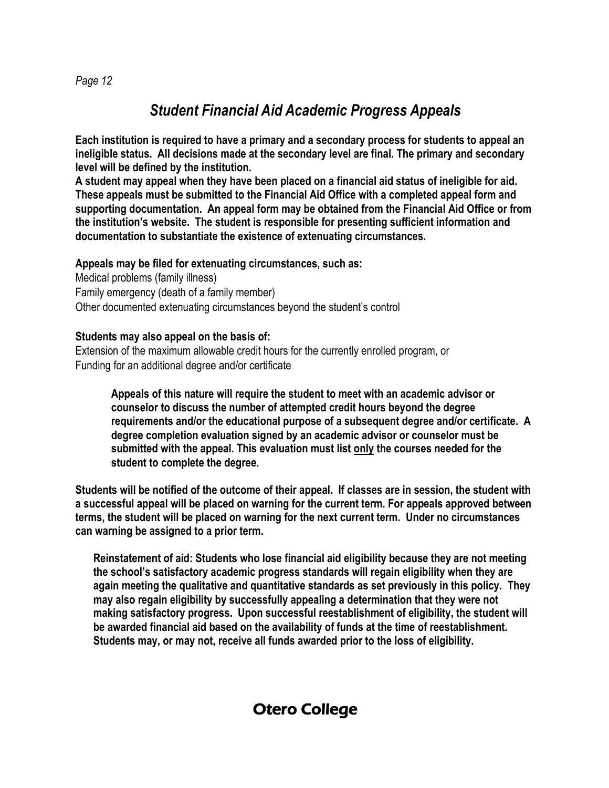# *Student Financial Aid Academic Progress Appeals*

**Each institution is required to have a primary and a secondary process for students to appeal an ineligible status. All decisions made at the secondary level are final. The primary and secondary level will be defined by the institution.** 

**A student may appeal when they have been placed on a financial aid status of ineligible for aid. These appeals must be submitted to the Financial Aid Office with a completed appeal form and supporting documentation. An appeal form may be obtained from the Financial Aid Office or from the institution's website. The student is responsible for presenting sufficient information and documentation to substantiate the existence of extenuating circumstances.** 

#### **Appeals may be filed for extenuating circumstances, such as:**

Medical problems (family illness) Family emergency (death of a family member) Other documented extenuating circumstances beyond the student's control

#### **Students may also appeal on the basis of:**

Extension of the maximum allowable credit hours for the currently enrolled program, or Funding for an additional degree and/or certificate

**Appeals of this nature will require the student to meet with an academic advisor or counselor to discuss the number of attempted credit hours beyond the degree requirements and/or the educational purpose of a subsequent degree and/or certificate. A degree completion evaluation signed by an academic advisor or counselor must be submitted with the appeal. This evaluation must list only the courses needed for the student to complete the degree.**

**Students will be notified of the outcome of their appeal. If classes are in session, the student with a successful appeal will be placed on warning for the current term. For appeals approved between terms, the student will be placed on warning for the next current term. Under no circumstances can warning be assigned to a prior term.**

**Reinstatement of aid: Students who lose financial aid eligibility because they are not meeting the school's satisfactory academic progress standards will regain eligibility when they are again meeting the qualitative and quantitative standards as set previously in this policy. They may also regain eligibility by successfully appealing a determination that they were not making satisfactory progress. Upon successful reestablishment of eligibility, the student will be awarded financial aid based on the availability of funds at the time of reestablishment. Students may, or may not, receive all funds awarded prior to the loss of eligibility.**

#### *Page 12*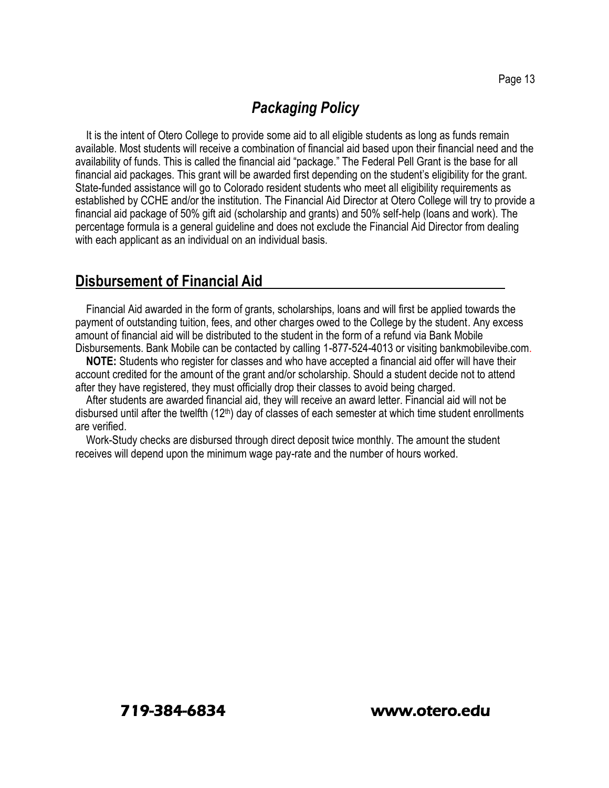#### *Packaging Policy*

It is the intent of Otero College to provide some aid to all eligible students as long as funds remain available. Most students will receive a combination of financial aid based upon their financial need and the availability of funds. This is called the financial aid "package." The Federal Pell Grant is the base for all financial aid packages. This grant will be awarded first depending on the student's eligibility for the grant. State-funded assistance will go to Colorado resident students who meet all eligibility requirements as established by CCHE and/or the institution. The Financial Aid Director at Otero College will try to provide a financial aid package of 50% gift aid (scholarship and grants) and 50% self-help (loans and work). The percentage formula is a general guideline and does not exclude the Financial Aid Director from dealing with each applicant as an individual on an individual basis.

#### **Disbursement of Financial Aid**

Financial Aid awarded in the form of grants, scholarships, loans and will first be applied towards the payment of outstanding tuition, fees, and other charges owed to the College by the student. Any excess amount of financial aid will be distributed to the student in the form of a refund via Bank Mobile Disbursements. Bank Mobile can be contacted by calling 1-877-524-4013 or visiting bankmobilevibe.com.

**NOTE:** Students who register for classes and who have accepted a financial aid offer will have their account credited for the amount of the grant and/or scholarship. Should a student decide not to attend after they have registered, they must officially drop their classes to avoid being charged.

After students are awarded financial aid, they will receive an award letter. Financial aid will not be disbursed until after the twelfth  $(12<sup>th</sup>)$  day of classes of each semester at which time student enrollments are verified.

Work-Study checks are disbursed through direct deposit twice monthly. The amount the student receives will depend upon the minimum wage pay-rate and the number of hours worked.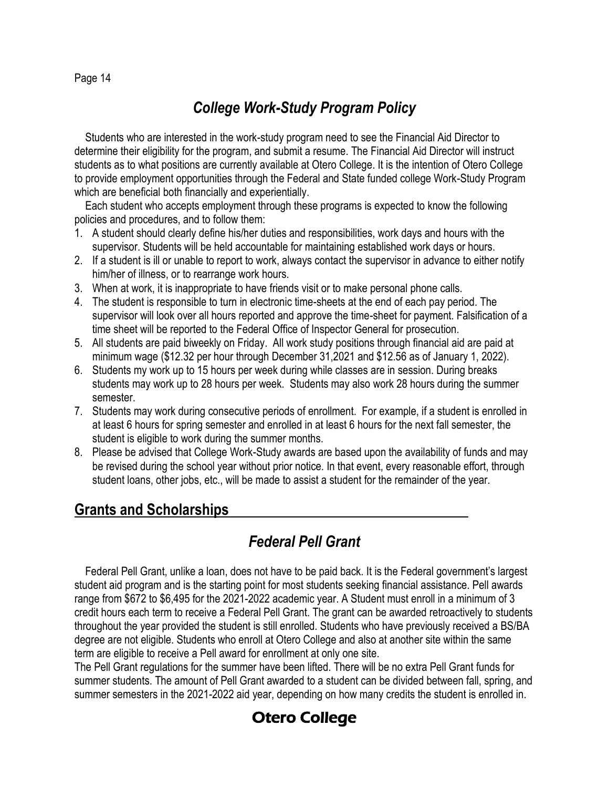# *College Work-Study Program Policy*

Students who are interested in the work-study program need to see the Financial Aid Director to determine their eligibility for the program, and submit a resume. The Financial Aid Director will instruct students as to what positions are currently available at Otero College. It is the intention of Otero College to provide employment opportunities through the Federal and State funded college Work-Study Program which are beneficial both financially and experientially.

Each student who accepts employment through these programs is expected to know the following policies and procedures, and to follow them:

- 1. A student should clearly define his/her duties and responsibilities, work days and hours with the supervisor. Students will be held accountable for maintaining established work days or hours.
- 2. If a student is ill or unable to report to work, always contact the supervisor in advance to either notify him/her of illness, or to rearrange work hours.
- 3. When at work, it is inappropriate to have friends visit or to make personal phone calls.
- 4. The student is responsible to turn in electronic time-sheets at the end of each pay period. The supervisor will look over all hours reported and approve the time-sheet for payment. Falsification of a time sheet will be reported to the Federal Office of Inspector General for prosecution.
- 5. All students are paid biweekly on Friday. All work study positions through financial aid are paid at minimum wage (\$12.32 per hour through December 31,2021 and \$12.56 as of January 1, 2022).
- 6. Students my work up to 15 hours per week during while classes are in session. During breaks students may work up to 28 hours per week. Students may also work 28 hours during the summer semester.
- 7. Students may work during consecutive periods of enrollment. For example, if a student is enrolled in at least 6 hours for spring semester and enrolled in at least 6 hours for the next fall semester, the student is eligible to work during the summer months.
- 8. Please be advised that College Work-Study awards are based upon the availability of funds and may be revised during the school year without prior notice. In that event, every reasonable effort, through student loans, other jobs, etc., will be made to assist a student for the remainder of the year.

#### **Grants and Scholarships**

# *Federal Pell Grant*

Federal Pell Grant, unlike a loan, does not have to be paid back. It is the Federal government's largest student aid program and is the starting point for most students seeking financial assistance. Pell awards range from \$672 to \$6,495 for the 2021-2022 academic year. A Student must enroll in a minimum of 3 credit hours each term to receive a Federal Pell Grant. The grant can be awarded retroactively to students throughout the year provided the student is still enrolled. Students who have previously received a BS/BA degree are not eligible. Students who enroll at Otero College and also at another site within the same term are eligible to receive a Pell award for enrollment at only one site.

The Pell Grant regulations for the summer have been lifted. There will be no extra Pell Grant funds for summer students. The amount of Pell Grant awarded to a student can be divided between fall, spring, and summer semesters in the 2021-2022 aid year, depending on how many credits the student is enrolled in.

# Otero College

#### Page 14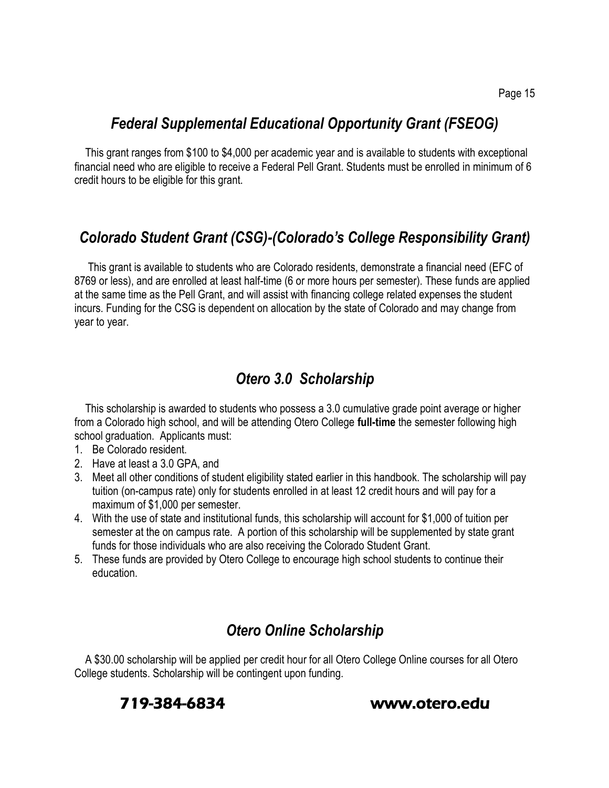#### *Federal Supplemental Educational Opportunity Grant (FSEOG)*

This grant ranges from \$100 to \$4,000 per academic year and is available to students with exceptional financial need who are eligible to receive a Federal Pell Grant. Students must be enrolled in minimum of 6 credit hours to be eligible for this grant.

#### *Colorado Student Grant (CSG)-(Colorado's College Responsibility Grant)*

This grant is available to students who are Colorado residents, demonstrate a financial need (EFC of 8769 or less), and are enrolled at least half-time (6 or more hours per semester). These funds are applied at the same time as the Pell Grant, and will assist with financing college related expenses the student incurs. Funding for the CSG is dependent on allocation by the state of Colorado and may change from year to year.

#### *Otero 3.0 Scholarship*

This scholarship is awarded to students who possess a 3.0 cumulative grade point average or higher from a Colorado high school, and will be attending Otero College **full-time** the semester following high school graduation. Applicants must:

- 1. Be Colorado resident.
- 2. Have at least a 3.0 GPA, and
- 3. Meet all other conditions of student eligibility stated earlier in this handbook. The scholarship will pay tuition (on-campus rate) only for students enrolled in at least 12 credit hours and will pay for a maximum of \$1,000 per semester.
- 4. With the use of state and institutional funds, this scholarship will account for \$1,000 of tuition per semester at the on campus rate. A portion of this scholarship will be supplemented by state grant funds for those individuals who are also receiving the Colorado Student Grant.
- 5. These funds are provided by Otero College to encourage high school students to continue their education.

#### *Otero Online Scholarship*

A \$30.00 scholarship will be applied per credit hour for all Otero College Online courses for all Otero College students. Scholarship will be contingent upon funding.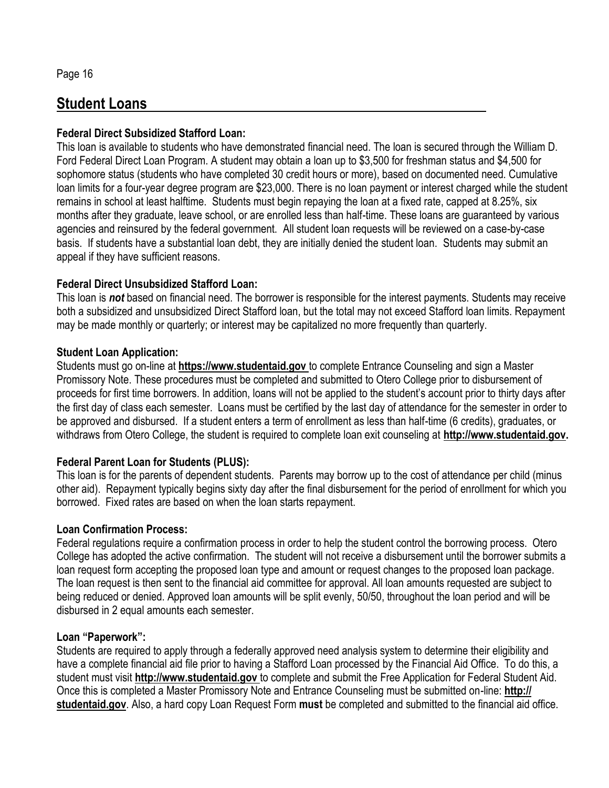#### **Student Loans**

#### **Federal Direct Subsidized Stafford Loan:**

This loan is available to students who have demonstrated financial need. The loan is secured through the William D. Ford Federal Direct Loan Program. A student may obtain a loan up to \$3,500 for freshman status and \$4,500 for sophomore status (students who have completed 30 credit hours or more), based on documented need. Cumulative loan limits for a four-year degree program are \$23,000. There is no loan payment or interest charged while the student remains in school at least halftime. Students must begin repaying the loan at a fixed rate, capped at 8.25%, six months after they graduate, leave school, or are enrolled less than half-time. These loans are guaranteed by various agencies and reinsured by the federal government. All student loan requests will be reviewed on a case-by-case basis. If students have a substantial loan debt, they are initially denied the student loan. Students may submit an appeal if they have sufficient reasons.

#### **Federal Direct Unsubsidized Stafford Loan:**

This loan is *not* based on financial need. The borrower is responsible for the interest payments. Students may receive both a subsidized and unsubsidized Direct Stafford loan, but the total may not exceed Stafford loan limits. Repayment may be made monthly or quarterly; or interest may be capitalized no more frequently than quarterly.

#### **Student Loan Application:**

Students must go on-line at **https://www.studentaid.gov** to complete Entrance Counseling and sign a Master Promissory Note. These procedures must be completed and submitted to Otero College prior to disbursement of proceeds for first time borrowers. In addition, loans will not be applied to the student's account prior to thirty days after the first day of class each semester. Loans must be certified by the last day of attendance for the semester in order to be approved and disbursed. If a student enters a term of enrollment as less than half-time (6 credits), graduates, or withdraws from Otero College, the student is required to complete loan exit counseling at **http://www.studentaid.gov.** 

#### **Federal Parent Loan for Students (PLUS):**

This loan is for the parents of dependent students. Parents may borrow up to the cost of attendance per child (minus other aid). Repayment typically begins sixty day after the final disbursement for the period of enrollment for which you borrowed. Fixed rates are based on when the loan starts repayment.

#### **Loan Confirmation Process:**

Federal regulations require a confirmation process in order to help the student control the borrowing process. Otero College has adopted the active confirmation. The student will not receive a disbursement until the borrower submits a loan request form accepting the proposed loan type and amount or request changes to the proposed loan package. The loan request is then sent to the financial aid committee for approval. All loan amounts requested are subject to being reduced or denied. Approved loan amounts will be split evenly, 50/50, throughout the loan period and will be disbursed in 2 equal amounts each semester.

#### **Loan "Paperwork":**

Students are required to apply through a federally approved need analysis system to determine their eligibility and have a complete financial aid file prior to having a Stafford Loan processed by the Financial Aid Office. To do this, a student must visit **http://www.studentaid.gov** to complete and submit the Free Application for Federal Student Aid. Once this is completed a Master Promissory Note and Entrance Counseling must be submitted on-line: **http:// studentaid.gov**. Also, a hard copy Loan Request Form **must** be completed and submitted to the financial aid office.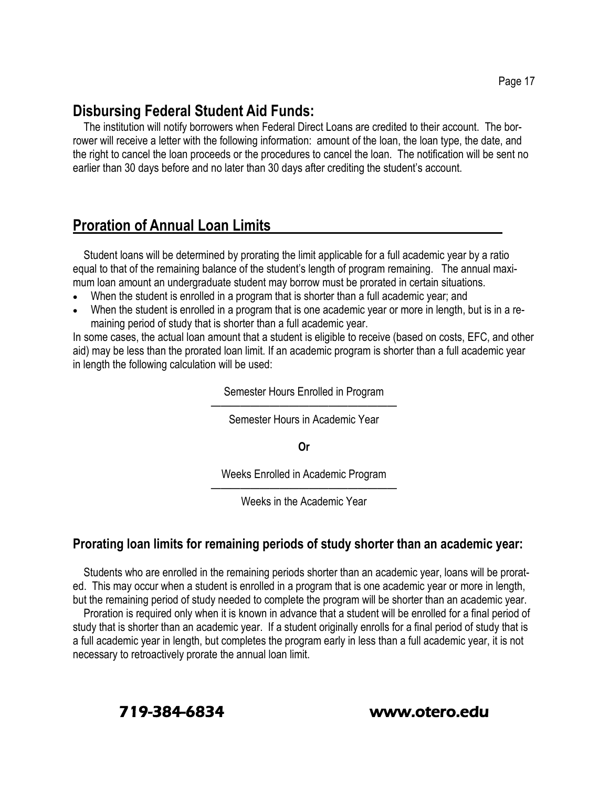#### **Disbursing Federal Student Aid Funds:**

The institution will notify borrowers when Federal Direct Loans are credited to their account. The borrower will receive a letter with the following information: amount of the loan, the loan type, the date, and the right to cancel the loan proceeds or the procedures to cancel the loan. The notification will be sent no earlier than 30 days before and no later than 30 days after crediting the student's account.

#### **Proration of Annual Loan Limits**

Student loans will be determined by prorating the limit applicable for a full academic year by a ratio equal to that of the remaining balance of the student's length of program remaining. The annual maximum loan amount an undergraduate student may borrow must be prorated in certain situations.

- When the student is enrolled in a program that is shorter than a full academic year; and
- When the student is enrolled in a program that is one academic year or more in length, but is in a remaining period of study that is shorter than a full academic year.

In some cases, the actual loan amount that a student is eligible to receive (based on costs, EFC, and other aid) may be less than the prorated loan limit. If an academic program is shorter than a full academic year in length the following calculation will be used:

Semester Hours Enrolled in Program

——————————————————— Semester Hours in Academic Year

**Or**

Weeks Enrolled in Academic Program

——————————————————— Weeks in the Academic Year

#### **Prorating loan limits for remaining periods of study shorter than an academic year:**

Students who are enrolled in the remaining periods shorter than an academic year, loans will be prorated. This may occur when a student is enrolled in a program that is one academic year or more in length, but the remaining period of study needed to complete the program will be shorter than an academic year.

Proration is required only when it is known in advance that a student will be enrolled for a final period of study that is shorter than an academic year. If a student originally enrolls for a final period of study that is a full academic year in length, but completes the program early in less than a full academic year, it is not necessary to retroactively prorate the annual loan limit.

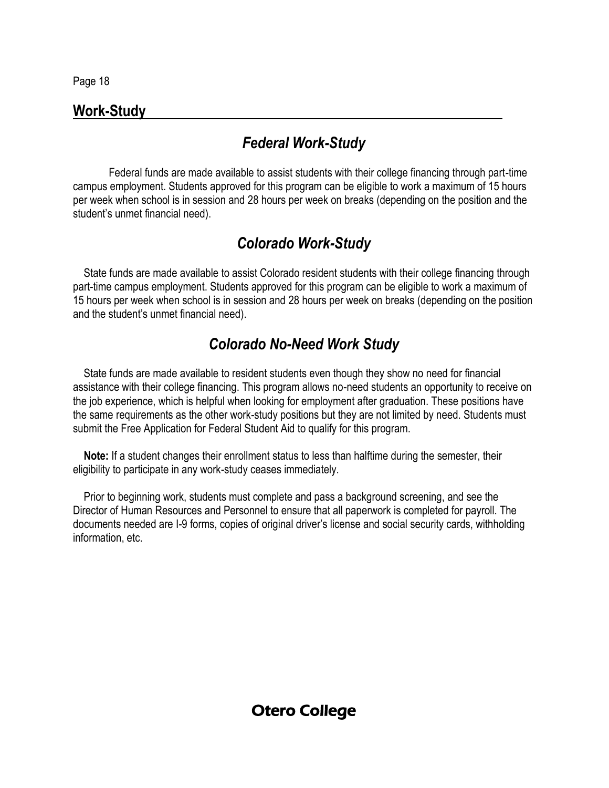#### **Work-Study**

### *Federal Work-Study*

Federal funds are made available to assist students with their college financing through part-time campus employment. Students approved for this program can be eligible to work a maximum of 15 hours per week when school is in session and 28 hours per week on breaks (depending on the position and the student's unmet financial need).

#### *Colorado Work-Study*

State funds are made available to assist Colorado resident students with their college financing through part-time campus employment. Students approved for this program can be eligible to work a maximum of 15 hours per week when school is in session and 28 hours per week on breaks (depending on the position and the student's unmet financial need).

#### *Colorado No-Need Work Study*

State funds are made available to resident students even though they show no need for financial assistance with their college financing. This program allows no-need students an opportunity to receive on the job experience, which is helpful when looking for employment after graduation. These positions have the same requirements as the other work-study positions but they are not limited by need. Students must submit the Free Application for Federal Student Aid to qualify for this program.

**Note:** If a student changes their enrollment status to less than halftime during the semester, their eligibility to participate in any work-study ceases immediately.

Prior to beginning work, students must complete and pass a background screening, and see the Director of Human Resources and Personnel to ensure that all paperwork is completed for payroll. The documents needed are I-9 forms, copies of original driver's license and social security cards, withholding information, etc.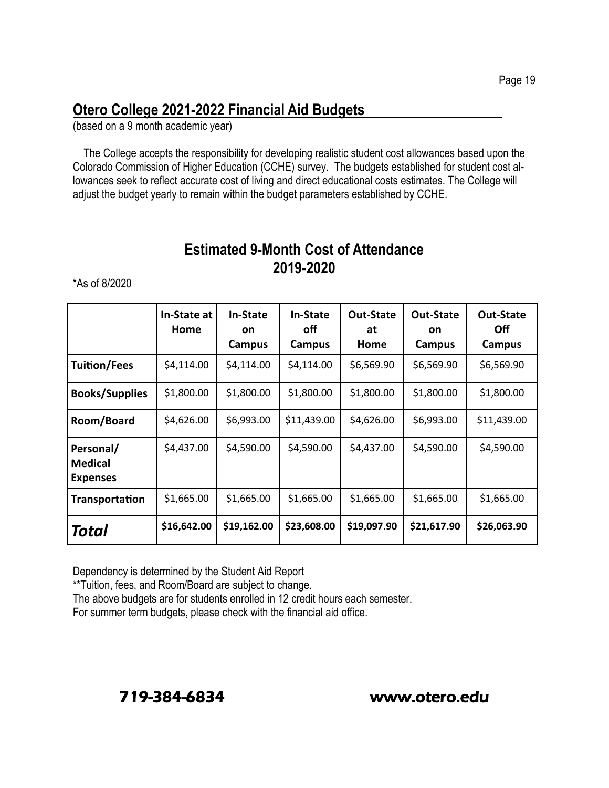# **Otero College 2021-2022 Financial Aid Budgets**

(based on a 9 month academic year)

The College accepts the responsibility for developing realistic student cost allowances based upon the Colorado Commission of Higher Education (CCHE) survey. The budgets established for student cost allowances seek to reflect accurate cost of living and direct educational costs estimates. The College will adjust the budget yearly to remain within the budget parameters established by CCHE.

#### **Estimated 9-Month Cost of Attendance 2019-2020**

\*As of 8/2020

|                                                | In-State at<br>Home | <b>In-State</b><br><b>on</b><br>Campus | <b>In-State</b><br>off<br>Campus | <b>Out-State</b><br>at<br>Home | <b>Out-State</b><br>on<br>Campus | <b>Out-State</b><br>0ff<br>Campus |
|------------------------------------------------|---------------------|----------------------------------------|----------------------------------|--------------------------------|----------------------------------|-----------------------------------|
| <b>Tuition/Fees</b>                            | \$4,114.00          | \$4,114.00                             | \$4,114.00                       | \$6,569.90                     | \$6,569.90                       | \$6,569.90                        |
| <b>Books/Supplies</b>                          | \$1,800.00          | \$1,800.00                             | \$1,800.00                       | \$1,800.00                     | \$1,800.00                       | \$1,800.00                        |
| Room/Board                                     | \$4,626.00          | \$6,993.00                             | \$11,439.00                      | \$4,626.00                     | \$6,993.00                       | \$11,439.00                       |
| Personal/<br><b>Medical</b><br><b>Expenses</b> | \$4,437.00          | \$4,590.00                             | \$4,590.00                       | \$4,437.00                     | \$4,590.00                       | \$4,590.00                        |
| Transportation                                 | \$1,665.00          | \$1,665.00                             | \$1,665.00                       | \$1,665.00                     | \$1,665.00                       | \$1,665.00                        |
| Total                                          | \$16,642.00         | \$19,162.00                            | \$23,608.00                      | \$19,097.90                    | \$21,617.90                      | \$26,063.90                       |

Dependency is determined by the Student Aid Report

\*\*Tuition, fees, and Room/Board are subject to change.

The above budgets are for students enrolled in 12 credit hours each semester.

For summer term budgets, please check with the financial aid office.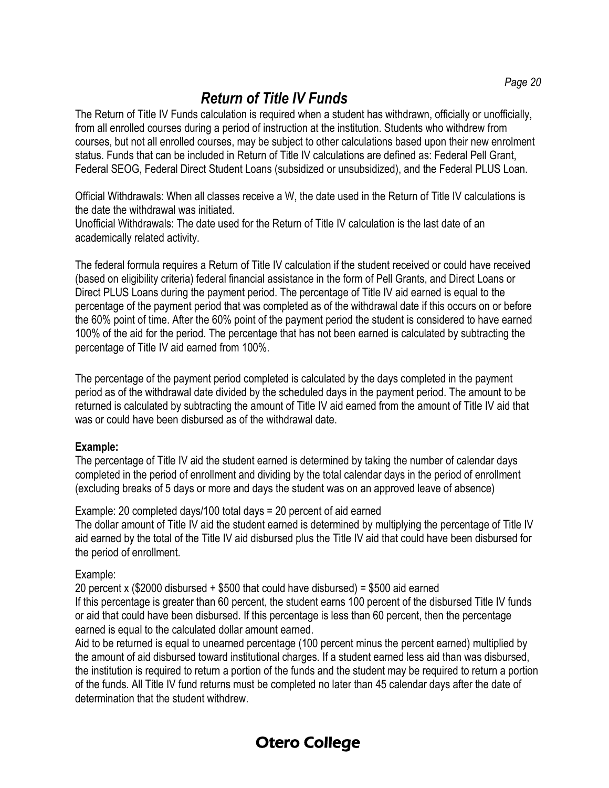# *Return of Title IV Funds*

The Return of Title IV Funds calculation is required when a student has withdrawn, officially or unofficially, from all enrolled courses during a period of instruction at the institution. Students who withdrew from courses, but not all enrolled courses, may be subject to other calculations based upon their new enrolment status. Funds that can be included in Return of Title IV calculations are defined as: Federal Pell Grant, Federal SEOG, Federal Direct Student Loans (subsidized or unsubsidized), and the Federal PLUS Loan.

Official Withdrawals: When all classes receive a W, the date used in the Return of Title IV calculations is the date the withdrawal was initiated.

Unofficial Withdrawals: The date used for the Return of Title IV calculation is the last date of an academically related activity.

The federal formula requires a Return of Title IV calculation if the student received or could have received (based on eligibility criteria) federal financial assistance in the form of Pell Grants, and Direct Loans or Direct PLUS Loans during the payment period. The percentage of Title IV aid earned is equal to the percentage of the payment period that was completed as of the withdrawal date if this occurs on or before the 60% point of time. After the 60% point of the payment period the student is considered to have earned 100% of the aid for the period. The percentage that has not been earned is calculated by subtracting the percentage of Title IV aid earned from 100%.

The percentage of the payment period completed is calculated by the days completed in the payment period as of the withdrawal date divided by the scheduled days in the payment period. The amount to be returned is calculated by subtracting the amount of Title IV aid earned from the amount of Title IV aid that was or could have been disbursed as of the withdrawal date.

#### **Example:**

The percentage of Title IV aid the student earned is determined by taking the number of calendar days completed in the period of enrollment and dividing by the total calendar days in the period of enrollment (excluding breaks of 5 days or more and days the student was on an approved leave of absence)

Example: 20 completed days/100 total days = 20 percent of aid earned The dollar amount of Title IV aid the student earned is determined by multiplying the percentage of Title IV aid earned by the total of the Title IV aid disbursed plus the Title IV aid that could have been disbursed for the period of enrollment.

#### Example:

20 percent x (\$2000 disbursed  $+$  \$500 that could have disbursed) = \$500 aid earned If this percentage is greater than 60 percent, the student earns 100 percent of the disbursed Title IV funds or aid that could have been disbursed. If this percentage is less than 60 percent, then the percentage earned is equal to the calculated dollar amount earned.

Aid to be returned is equal to unearned percentage (100 percent minus the percent earned) multiplied by the amount of aid disbursed toward institutional charges. If a student earned less aid than was disbursed, the institution is required to return a portion of the funds and the student may be required to return a portion of the funds. All Title IV fund returns must be completed no later than 45 calendar days after the date of determination that the student withdrew.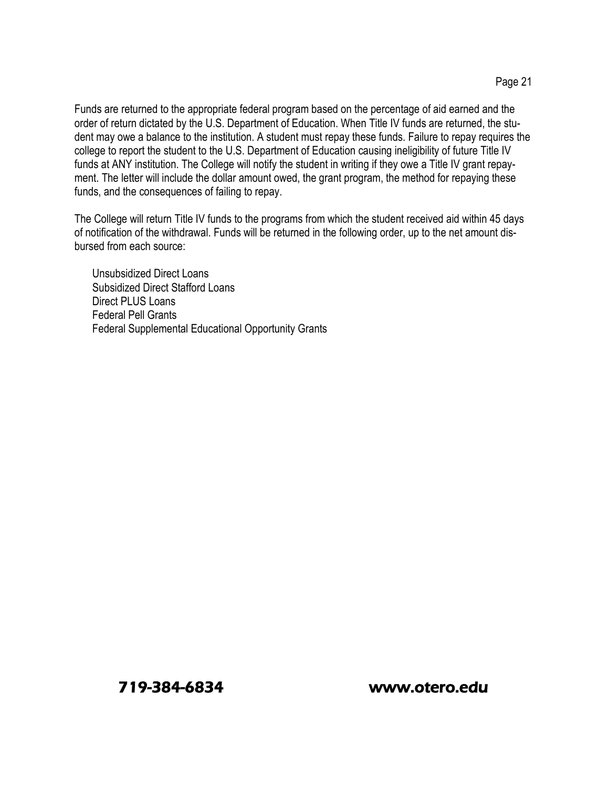Funds are returned to the appropriate federal program based on the percentage of aid earned and the order of return dictated by the U.S. Department of Education. When Title IV funds are returned, the student may owe a balance to the institution. A student must repay these funds. Failure to repay requires the college to report the student to the U.S. Department of Education causing ineligibility of future Title IV funds at ANY institution. The College will notify the student in writing if they owe a Title IV grant repayment. The letter will include the dollar amount owed, the grant program, the method for repaying these funds, and the consequences of failing to repay.

The College will return Title IV funds to the programs from which the student received aid within 45 days of notification of the withdrawal. Funds will be returned in the following order, up to the net amount disbursed from each source:

Unsubsidized Direct Loans Subsidized Direct Stafford Loans Direct PLUS Loans Federal Pell Grants Federal Supplemental Educational Opportunity Grants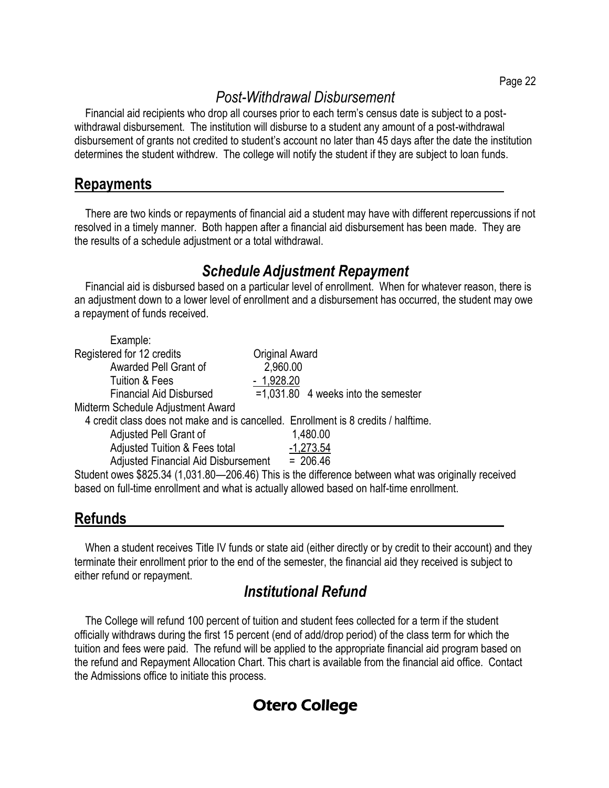# *Post-Withdrawal Disbursement*

Financial aid recipients who drop all courses prior to each term's census date is subject to a postwithdrawal disbursement. The institution will disburse to a student any amount of a post-withdrawal disbursement of grants not credited to student's account no later than 45 days after the date the institution determines the student withdrew. The college will notify the student if they are subject to loan funds.

#### **Repayments**

There are two kinds or repayments of financial aid a student may have with different repercussions if not resolved in a timely manner. Both happen after a financial aid disbursement has been made. They are the results of a schedule adjustment or a total withdrawal.

#### *Schedule Adjustment Repayment*

Financial aid is disbursed based on a particular level of enrollment. When for whatever reason, there is an adjustment down to a lower level of enrollment and a disbursement has occurred, the student may owe a repayment of funds received.

| Example:                                 |                                                                                                     |
|------------------------------------------|-----------------------------------------------------------------------------------------------------|
| Registered for 12 credits                | <b>Original Award</b>                                                                               |
| Awarded Pell Grant of                    | 2,960.00                                                                                            |
| Tuition & Fees                           | $-1,928.20$                                                                                         |
| <b>Financial Aid Disbursed</b>           | $=1,031.80$ 4 weeks into the semester                                                               |
| Midterm Schedule Adjustment Award        |                                                                                                     |
|                                          | 4 credit class does not make and is cancelled. Enrollment is 8 credits / halftime.                  |
| Adjusted Pell Grant of                   | 1,480.00                                                                                            |
| <b>Adjusted Tuition &amp; Fees total</b> | $-1,273.54$                                                                                         |
| Adjusted Financial Aid Disbursement      | $= 206.46$                                                                                          |
|                                          | Student owes \$825.34 (1,031.80—206.46) This is the difference between what was originally received |
|                                          | based on full-time enrollment and what is actually allowed based on half-time enrollment.           |

# **Refunds**

When a student receives Title IV funds or state aid (either directly or by credit to their account) and they terminate their enrollment prior to the end of the semester, the financial aid they received is subject to either refund or repayment.

# *Institutional Refund*

The College will refund 100 percent of tuition and student fees collected for a term if the student officially withdraws during the first 15 percent (end of add/drop period) of the class term for which the tuition and fees were paid. The refund will be applied to the appropriate financial aid program based on the refund and Repayment Allocation Chart. This chart is available from the financial aid office. Contact the Admissions office to initiate this process.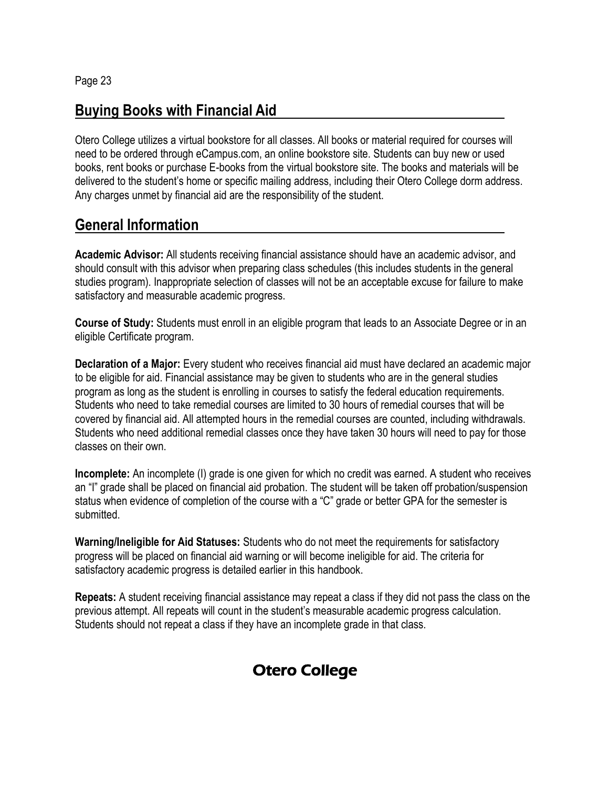#### **Buying Books with Financial Aid**

Otero College utilizes a virtual bookstore for all classes. All books or material required for courses will need to be ordered through eCampus.com, an online bookstore site. Students can buy new or used books, rent books or purchase E-books from the virtual bookstore site. The books and materials will be delivered to the student's home or specific mailing address, including their Otero College dorm address. Any charges unmet by financial aid are the responsibility of the student.

#### **General Information**

**Academic Advisor:** All students receiving financial assistance should have an academic advisor, and should consult with this advisor when preparing class schedules (this includes students in the general studies program). Inappropriate selection of classes will not be an acceptable excuse for failure to make satisfactory and measurable academic progress.

**Course of Study:** Students must enroll in an eligible program that leads to an Associate Degree or in an eligible Certificate program.

**Declaration of a Major:** Every student who receives financial aid must have declared an academic major to be eligible for aid. Financial assistance may be given to students who are in the general studies program as long as the student is enrolling in courses to satisfy the federal education requirements. Students who need to take remedial courses are limited to 30 hours of remedial courses that will be covered by financial aid. All attempted hours in the remedial courses are counted, including withdrawals. Students who need additional remedial classes once they have taken 30 hours will need to pay for those classes on their own.

**Incomplete:** An incomplete (I) grade is one given for which no credit was earned. A student who receives an "I" grade shall be placed on financial aid probation. The student will be taken off probation/suspension status when evidence of completion of the course with a "C" grade or better GPA for the semester is submitted.

**Warning/Ineligible for Aid Statuses:** Students who do not meet the requirements for satisfactory progress will be placed on financial aid warning or will become ineligible for aid. The criteria for satisfactory academic progress is detailed earlier in this handbook.

**Repeats:** A student receiving financial assistance may repeat a class if they did not pass the class on the previous attempt. All repeats will count in the student's measurable academic progress calculation. Students should not repeat a class if they have an incomplete grade in that class.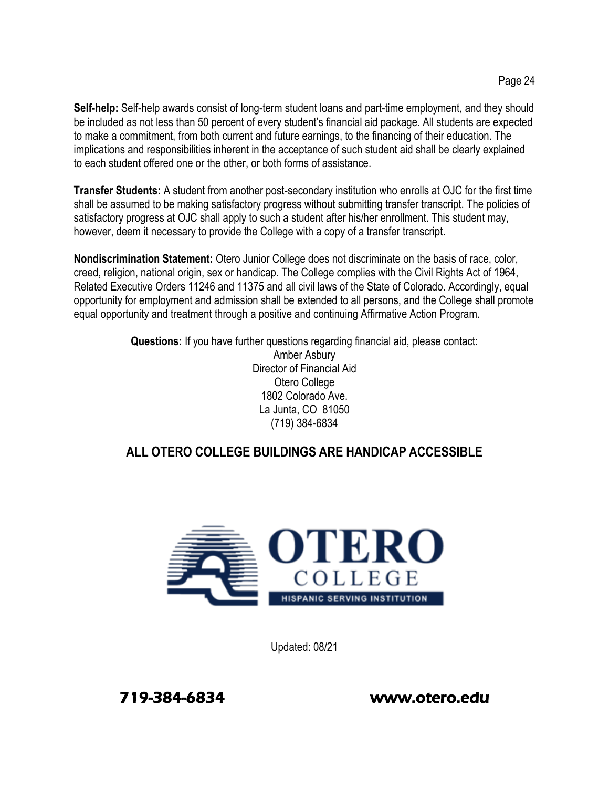**Self-help:** Self-help awards consist of long-term student loans and part-time employment, and they should be included as not less than 50 percent of every student's financial aid package. All students are expected to make a commitment, from both current and future earnings, to the financing of their education. The implications and responsibilities inherent in the acceptance of such student aid shall be clearly explained to each student offered one or the other, or both forms of assistance.

**Transfer Students:** A student from another post-secondary institution who enrolls at OJC for the first time shall be assumed to be making satisfactory progress without submitting transfer transcript. The policies of satisfactory progress at OJC shall apply to such a student after his/her enrollment. This student may, however, deem it necessary to provide the College with a copy of a transfer transcript.

**Nondiscrimination Statement:** Otero Junior College does not discriminate on the basis of race, color, creed, religion, national origin, sex or handicap. The College complies with the Civil Rights Act of 1964, Related Executive Orders 11246 and 11375 and all civil laws of the State of Colorado. Accordingly, equal opportunity for employment and admission shall be extended to all persons, and the College shall promote equal opportunity and treatment through a positive and continuing Affirmative Action Program.

> **Questions:** If you have further questions regarding financial aid, please contact: Amber Asbury Director of Financial Aid Otero College 1802 Colorado Ave. La Junta, CO 81050 (719) 384-6834

#### **ALL OTERO COLLEGE BUILDINGS ARE HANDICAP ACCESSIBLE**



Updated: 08/21